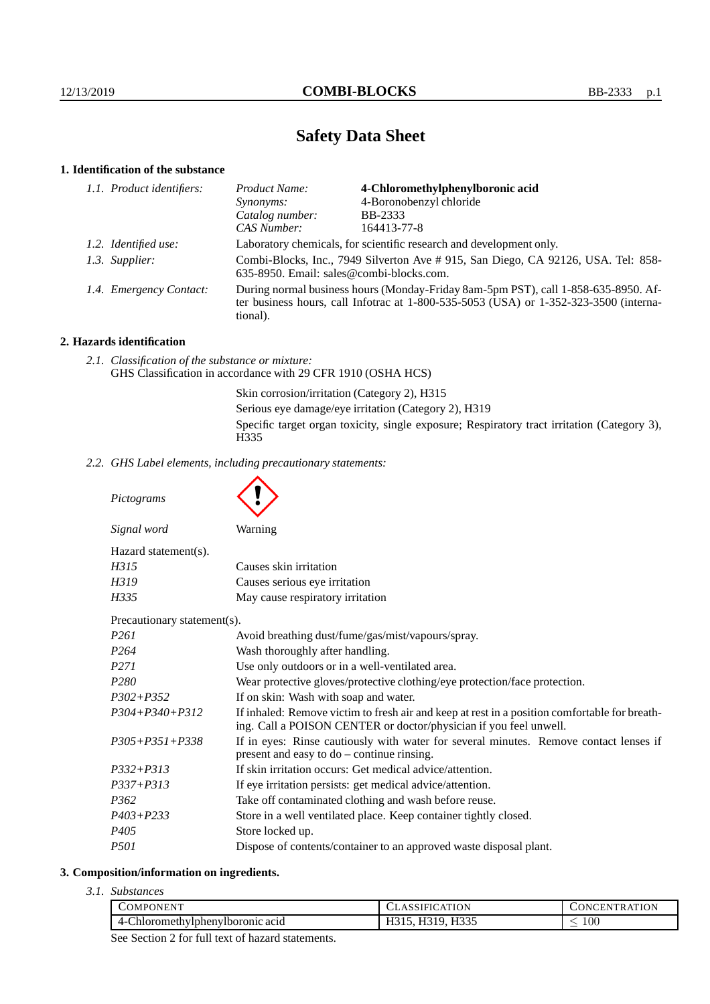# **Safety Data Sheet**

# **1. Identification of the substance**

| 1.1. Product identifiers: | Product Name:                                                                                                                                                                               | 4-Chloromethylphenylboronic acid |
|---------------------------|---------------------------------------------------------------------------------------------------------------------------------------------------------------------------------------------|----------------------------------|
|                           | Synonyms:                                                                                                                                                                                   | 4-Boronobenzyl chloride          |
|                           | Catalog number:                                                                                                                                                                             | BB-2333                          |
|                           | CAS Number:                                                                                                                                                                                 | 164413-77-8                      |
| 1.2. Identified use:      | Laboratory chemicals, for scientific research and development only.                                                                                                                         |                                  |
| 1.3. Supplier:            | Combi-Blocks, Inc., 7949 Silverton Ave # 915, San Diego, CA 92126, USA. Tel: 858-<br>635-8950. Email: sales@combi-blocks.com.                                                               |                                  |
| 1.4. Emergency Contact:   | During normal business hours (Monday-Friday 8am-5pm PST), call 1-858-635-8950. Af-<br>ter business hours, call Infotrac at $1-800-535-5053$ (USA) or $1-352-323-3500$ (interna-<br>tional). |                                  |

# **2. Hazards identification**

*2.1. Classification of the substance or mixture:* GHS Classification in accordance with 29 CFR 1910 (OSHA HCS)

> Skin corrosion/irritation (Category 2), H315 Serious eye damage/eye irritation (Category 2), H319 Specific target organ toxicity, single exposure; Respiratory tract irritation (Category 3), H335

*2.2. GHS Label elements, including precautionary statements:*

*Pictograms*

 $\blacktriangle$ 

| Signal word                 | Warning                                           |
|-----------------------------|---------------------------------------------------|
| Hazard statement(s).        |                                                   |
| H315                        | Causes skin irritation                            |
| H319                        | Causes serious eye irritation                     |
| H335                        | May cause respiratory irritation                  |
| Precautionary statement(s). |                                                   |
| <i>P261</i>                 | Avoid breathing dust/fume/gas/mist/vapours/spray. |
| P <sub>264</sub>            | Wash thoroughly after handling.                   |
| P <sub>271</sub>            | Use only outdoors or in a well-ventilated area.   |
| $\mathbf{a}$                |                                                   |

| Use only outdoors or in a well-ventilated area.                                                                                                                    |
|--------------------------------------------------------------------------------------------------------------------------------------------------------------------|
| Wear protective gloves/protective clothing/eye protection/face protection.                                                                                         |
| If on skin: Wash with soap and water.                                                                                                                              |
| If inhaled: Remove victim to fresh air and keep at rest in a position comfortable for breath-<br>ing. Call a POISON CENTER or doctor/physician if you feel unwell. |
| If in eyes: Rinse cautiously with water for several minutes. Remove contact lenses if<br>present and easy to $do$ – continue rinsing.                              |
| If skin irritation occurs: Get medical advice/attention.                                                                                                           |
| If eye irritation persists: get medical advice/attention.                                                                                                          |
| Take off contaminated clothing and wash before reuse.                                                                                                              |
| Store in a well ventilated place. Keep container tightly closed.                                                                                                   |
| Store locked up.                                                                                                                                                   |
| Dispose of contents/container to an approved waste disposal plant.                                                                                                 |
|                                                                                                                                                                    |

### **3. Composition/information on ingredients.**

*3.1. Substances*

| OMPONENT                         | 'ATION<br>ा मार            | <b>FRATION</b><br>.ONG<br>ыN |
|----------------------------------|----------------------------|------------------------------|
| 4-Chloromethylphenylboronic acid | H335<br>$10 - 10$<br>1 I.J | $100\,$                      |
|                                  |                            |                              |

See Section 2 for full text of hazard statements.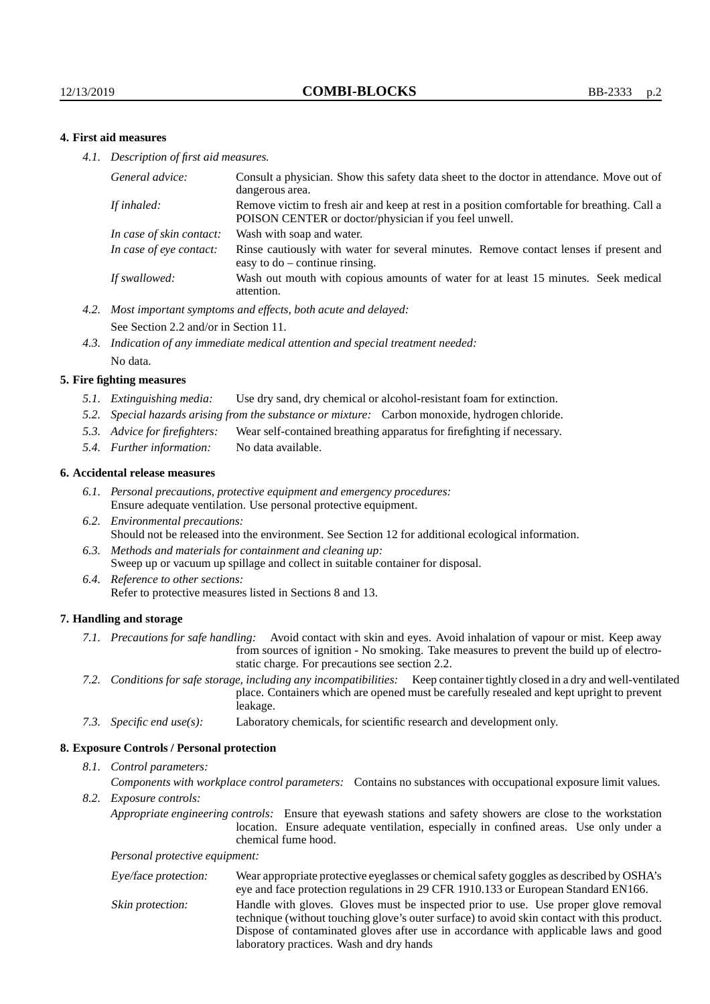# **4. First aid measures**

*4.1. Description of first aid measures.*

| General advice:          | Consult a physician. Show this safety data sheet to the doctor in attendance. Move out of<br>dangerous area.                                         |
|--------------------------|------------------------------------------------------------------------------------------------------------------------------------------------------|
| If inhaled:              | Remove victim to fresh air and keep at rest in a position comfortable for breathing. Call a<br>POISON CENTER or doctor/physician if you feel unwell. |
| In case of skin contact: | Wash with soap and water.                                                                                                                            |
| In case of eye contact:  | Rinse cautiously with water for several minutes. Remove contact lenses if present and<br>easy to $do$ – continue rinsing.                            |
| If swallowed:            | Wash out mouth with copious amounts of water for at least 15 minutes. Seek medical<br>attention.                                                     |

- *4.2. Most important symptoms and effects, both acute and delayed:* See Section 2.2 and/or in Section 11.
- *4.3. Indication of any immediate medical attention and special treatment needed:* No data.

#### **5. Fire fighting measures**

- *5.1. Extinguishing media:* Use dry sand, dry chemical or alcohol-resistant foam for extinction.
- *5.2. Special hazards arising from the substance or mixture:* Carbon monoxide, hydrogen chloride.
- *5.3. Advice for firefighters:* Wear self-contained breathing apparatus for firefighting if necessary.
- *5.4. Further information:* No data available.

#### **6. Accidental release measures**

- *6.1. Personal precautions, protective equipment and emergency procedures:* Ensure adequate ventilation. Use personal protective equipment.
- *6.2. Environmental precautions:* Should not be released into the environment. See Section 12 for additional ecological information.
- *6.3. Methods and materials for containment and cleaning up:* Sweep up or vacuum up spillage and collect in suitable container for disposal.
- *6.4. Reference to other sections:* Refer to protective measures listed in Sections 8 and 13.

#### **7. Handling and storage**

- *7.1. Precautions for safe handling:* Avoid contact with skin and eyes. Avoid inhalation of vapour or mist. Keep away from sources of ignition - No smoking. Take measures to prevent the build up of electrostatic charge. For precautions see section 2.2.
- *7.2. Conditions for safe storage, including any incompatibilities:* Keep container tightly closed in a dry and well-ventilated place. Containers which are opened must be carefully resealed and kept upright to prevent leakage.
- *7.3. Specific end use(s):* Laboratory chemicals, for scientific research and development only.

#### **8. Exposure Controls / Personal protection**

*8.1. Control parameters:*

*Components with workplace control parameters:* Contains no substances with occupational exposure limit values.

*8.2. Exposure controls:*

*Appropriate engineering controls:* Ensure that eyewash stations and safety showers are close to the workstation location. Ensure adequate ventilation, especially in confined areas. Use only under a chemical fume hood.

*Personal protective equipment:*

| Eye/face protection: | Wear appropriate protective eyeglasses or chemical safety goggles as described by OSHA's<br>eye and face protection regulations in 29 CFR 1910.133 or European Standard EN166.                                                                                                                                         |
|----------------------|------------------------------------------------------------------------------------------------------------------------------------------------------------------------------------------------------------------------------------------------------------------------------------------------------------------------|
| Skin protection:     | Handle with gloves. Gloves must be inspected prior to use. Use proper glove removal<br>technique (without touching glove's outer surface) to avoid skin contact with this product.<br>Dispose of contaminated gloves after use in accordance with applicable laws and good<br>laboratory practices. Wash and dry hands |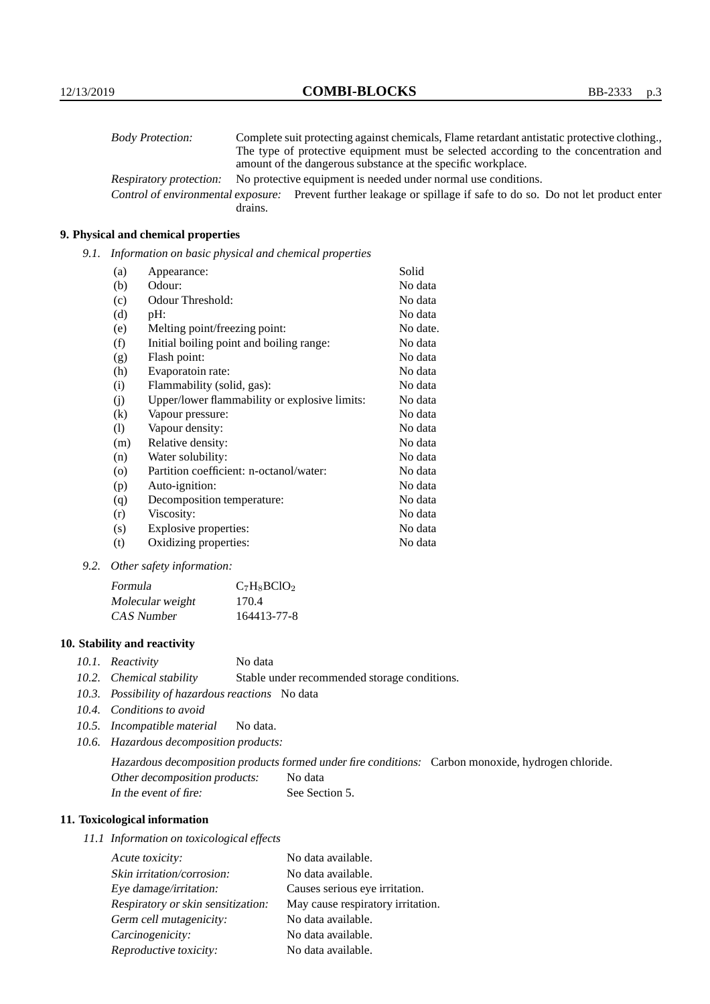| <b>Body Protection:</b> |         | Complete suit protecting against chemicals, Flame retardant antistatic protective clothing.                       |
|-------------------------|---------|-------------------------------------------------------------------------------------------------------------------|
|                         |         | The type of protective equipment must be selected according to the concentration and                              |
|                         |         | amount of the dangerous substance at the specific workplace.                                                      |
| Respiratory protection: |         | No protective equipment is needed under normal use conditions.                                                    |
|                         |         | Control of environmental exposure: Prevent further leakage or spillage if safe to do so. Do not let product enter |
|                         | drains. |                                                                                                                   |

# **9. Physical and chemical properties**

*9.1. Information on basic physical and chemical properties*

| (a)      | Appearance:                                   | Solid    |
|----------|-----------------------------------------------|----------|
| (b)      | Odour:                                        | No data  |
| (c)      | Odour Threshold:                              | No data  |
| (d)      | pH:                                           | No data  |
| (e)      | Melting point/freezing point:                 | No date. |
| (f)      | Initial boiling point and boiling range:      | No data  |
| (g)      | Flash point:                                  | No data  |
| (h)      | Evaporatoin rate:                             | No data  |
| (i)      | Flammability (solid, gas):                    | No data  |
| (j)      | Upper/lower flammability or explosive limits: | No data  |
| $\rm(k)$ | Vapour pressure:                              | No data  |
| (1)      | Vapour density:                               | No data  |
| (m)      | Relative density:                             | No data  |
| (n)      | Water solubility:                             | No data  |
| $\circ$  | Partition coefficient: n-octanol/water:       | No data  |
| (p)      | Auto-ignition:                                | No data  |
| (q)      | Decomposition temperature:                    | No data  |
| (r)      | Viscosity:                                    | No data  |
| (s)      | Explosive properties:                         | No data  |
| (t)      | Oxidizing properties:                         | No data  |

*9.2. Other safety information:*

| Formula          | $C_7H_8BCIO_2$ |
|------------------|----------------|
| Molecular weight | 170.4          |
| CAS Number       | 164413-77-8    |

# **10. Stability and reactivity**

- *10.1. Reactivity* No data
- *10.2. Chemical stability* Stable under recommended storage conditions.
- *10.3. Possibility of hazardous reactions* No data
- *10.4. Conditions to avoid*
- *10.5. Incompatible material* No data.
- *10.6. Hazardous decomposition products:*

Hazardous decomposition products formed under fire conditions: Carbon monoxide, hydrogen chloride. Other decomposition products: No data In the event of fire: See Section 5.

# **11. Toxicological information**

*11.1 Information on toxicological effects*

| Acute toxicity:                    | No data available.                |
|------------------------------------|-----------------------------------|
| Skin irritation/corrosion:         | No data available.                |
| Eye damage/irritation:             | Causes serious eye irritation.    |
| Respiratory or skin sensitization: | May cause respiratory irritation. |
| Germ cell mutagenicity:            | No data available.                |
| Carcinogenicity:                   | No data available.                |
| Reproductive toxicity:             | No data available.                |